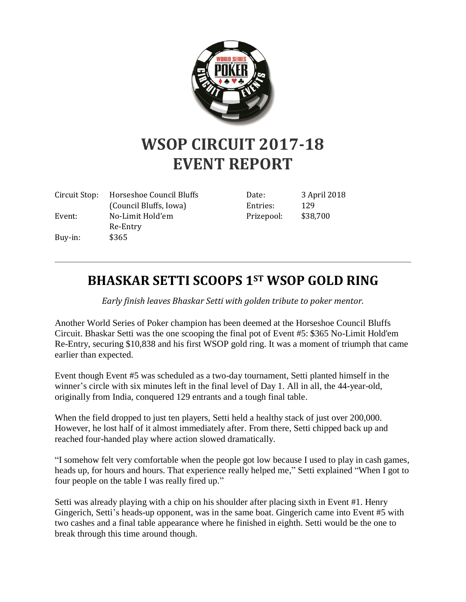

## **WSOP CIRCUIT 2017-18 EVENT REPORT**

| Circuit Stop: | Horseshoe Council Bluffs | Date:   |
|---------------|--------------------------|---------|
|               | (Council Bluffs, Iowa)   | Entries |
| Event:        | No-Limit Hold'em         | Prizepo |
|               | Re-Entry                 |         |
| Buy-in:       | \$365                    |         |

3 April 2018  $\frac{129}{ }$ Prizepool: \$38,700

## **BHASKAR SETTI SCOOPS 1ST WSOP GOLD RING**

*Early finish leaves Bhaskar Setti with golden tribute to poker mentor.*

Another World Series of Poker champion has been deemed at the Horseshoe Council Bluffs Circuit. Bhaskar Setti was the one scooping the final pot of Event #5: \$365 No-Limit Hold'em Re-Entry, securing \$10,838 and his first WSOP gold ring. It was a moment of triumph that came earlier than expected.

Event though Event #5 was scheduled as a two-day tournament, Setti planted himself in the winner's circle with six minutes left in the final level of Day 1. All in all, the 44-year-old, originally from India, conquered 129 entrants and a tough final table.

When the field dropped to just ten players, Setti held a healthy stack of just over 200,000. However, he lost half of it almost immediately after. From there, Setti chipped back up and reached four-handed play where action slowed dramatically.

"I somehow felt very comfortable when the people got low because I used to play in cash games, heads up, for hours and hours. That experience really helped me," Setti explained "When I got to four people on the table I was really fired up."

Setti was already playing with a chip on his shoulder after placing sixth in Event #1. Henry Gingerich, Setti's heads-up opponent, was in the same boat. Gingerich came into Event #5 with two cashes and a final table appearance where he finished in eighth. Setti would be the one to break through this time around though.